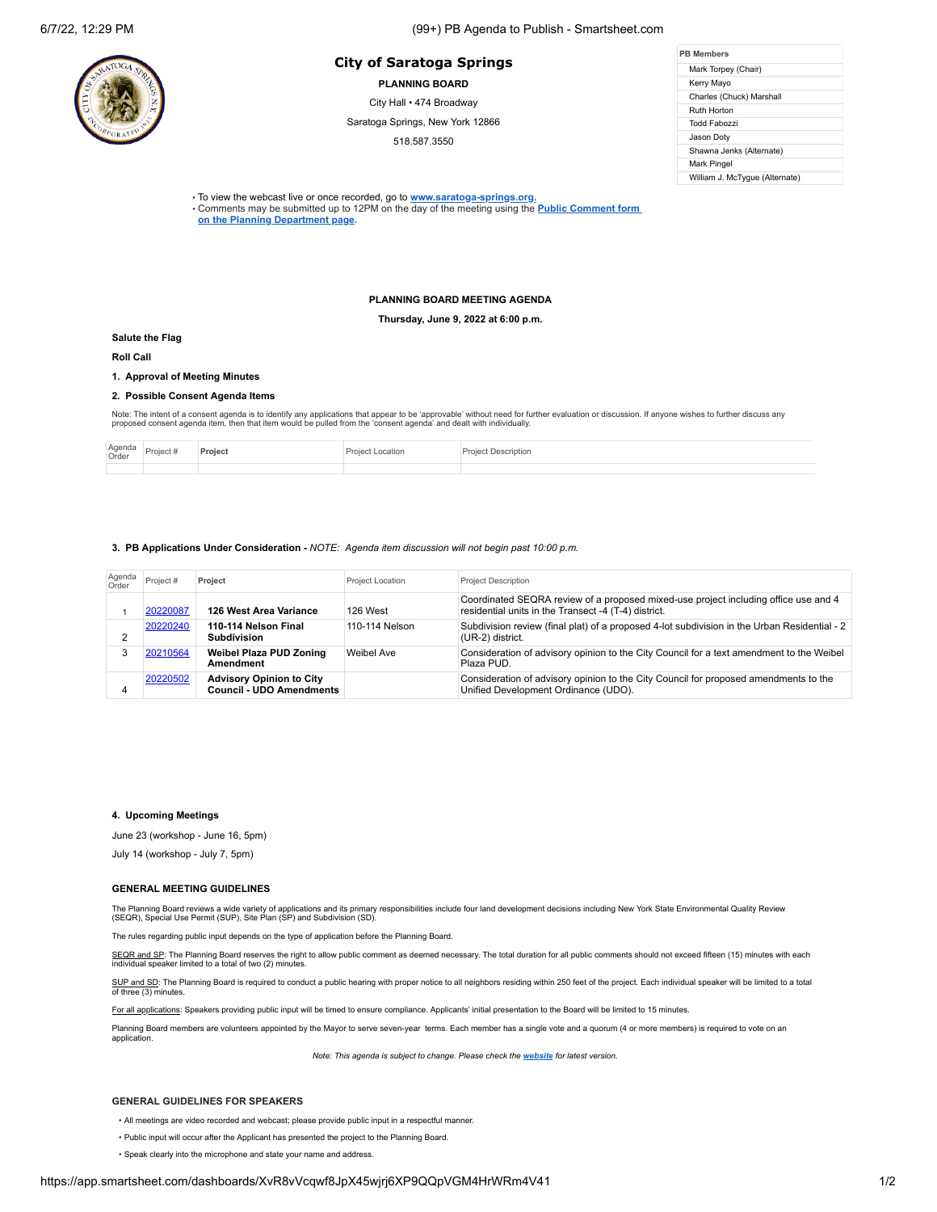# **PB Members City of Saratoga Springs**

**PLANNING BOARD**

City Hall • 474 Broadway

Saratoga Springs, New York 12866

518.587.3550

| <b>PR Members</b>              |  |  |  |  |
|--------------------------------|--|--|--|--|
| Mark Torpey (Chair)            |  |  |  |  |
| Kerry Mayo                     |  |  |  |  |
| Charles (Chuck) Marshall       |  |  |  |  |
| Ruth Horton                    |  |  |  |  |
| Todd Fabozzi                   |  |  |  |  |
| Jason Doty                     |  |  |  |  |
| Shawna Jenks (Alternate)       |  |  |  |  |
| Mark Pingel                    |  |  |  |  |
| William J. McTygue (Alternate) |  |  |  |  |

• To view the webcast live or once recorded, go to **[www.saratoga-springs.org](http://www.saratoga-springs.org/).**

• Comments may be submitted [up to 12PM on the day of the meeting using the](https://saratoga-springs.org/FormCenter/Planning-Board-8/Land-Use-Board-Agenda-Public-Comment-95) **Public Comment form on the Planning Department page.**

## **PLANNING BOARD MEETING AGENDA**

**Thursday, June 9, 2022 at 6:00 p.m.**

### **Salute the Flag**

**Roll Call**

# **1. Approval of Meeting Minutes**

### **2. Possible Consent Agenda Items**

Note: The intent of a consent agenda is to identify any applications that appear to be 'approvable' without need for further evaluation or discussion. If anyone wishes to further discuss any<br>proposed consent agenda item, t

| Agenda<br>Order | Project <sub>n</sub> | Proiec | Description |
|-----------------|----------------------|--------|-------------|
|                 |                      |        |             |

### **3. PB Applications Under Consideration -** *NOTE: Agenda item discussion will not begin past 10:00 p.m.*

| Agenda<br>Order | Project # | Project                                                            | <b>Project Location</b> | <b>Project Description</b>                                                                                                                  |
|-----------------|-----------|--------------------------------------------------------------------|-------------------------|---------------------------------------------------------------------------------------------------------------------------------------------|
|                 | 20220087  | 126 West Area Variance                                             | 126 West                | Coordinated SEQRA review of a proposed mixed-use project including office use and 4<br>residential units in the Transect -4 (T-4) district. |
|                 | 20220240  | 110-114 Nelson Final<br><b>Subdivision</b>                         | 110-114 Nelson          | Subdivision review (final plat) of a proposed 4-lot subdivision in the Urban Residential - 2<br>(UR-2) district.                            |
|                 | 20210564  | <b>Weibel Plaza PUD Zoning</b><br>Amendment                        | Weibel Ave              | Consideration of advisory opinion to the City Council for a text amendment to the Weibel<br>Plaza PUD.                                      |
| 4               | 20220502  | <b>Advisory Opinion to City</b><br><b>Council - UDO Amendments</b> |                         | Consideration of advisory opinion to the City Council for proposed amendments to the<br>Unified Development Ordinance (UDO).                |

## **4. Upcoming Meetings**

June 23 (workshop - June 16, 5pm)

July 14 (workshop - July 7, 5pm)

### **GENERAL MEETING GUIDELINES**

The Planning Board reviews a wide variety of applications and its primary responsibilities include four land development decisions including New York State Environmental Quality Review<br>(SEQR), Special Use Permit (SUP), Sit

The rules regarding public input depends on the type of application before the Planning Board.

SEQR and SP: The Planning Board reserves the right to allow public comment as deemed necessary. The total duration for all public comments should not exceed fifteen (15) minutes with each individual speaker limited to a total of two (2) minutes.

SUP and SD: The Planning Board is required to conduct a public hearing with proper notice to all neighbors residing within 250 feet of the project. Each individual speaker will be limited to a total of three (3) minutes.

For all applications: Speakers providing public input will be timed to ensure compliance. Applicants' initial presentation to the Board will be limited to 15 minutes.

Planning Board members are volunteers appointed by the Mayor to serve seven-year terms. Each member has a single vote and a quorum (4 or more members) is required to vote on an application.

*Note: This agenda is subject to change. Please check the [website](https://saratoga-springs.org/AgendaCenter/ViewFile/Agenda/2604?html=true) for latest version.*

#### **GENERAL GUIDELINES FOR SPEAKERS**

- All meetings are video recorded and webcast; please provide public input in a respectful manner.
- Public input will occur after the Applicant has presented the project to the Planning Board.
- Speak clearly into the microphone and state your name and address.